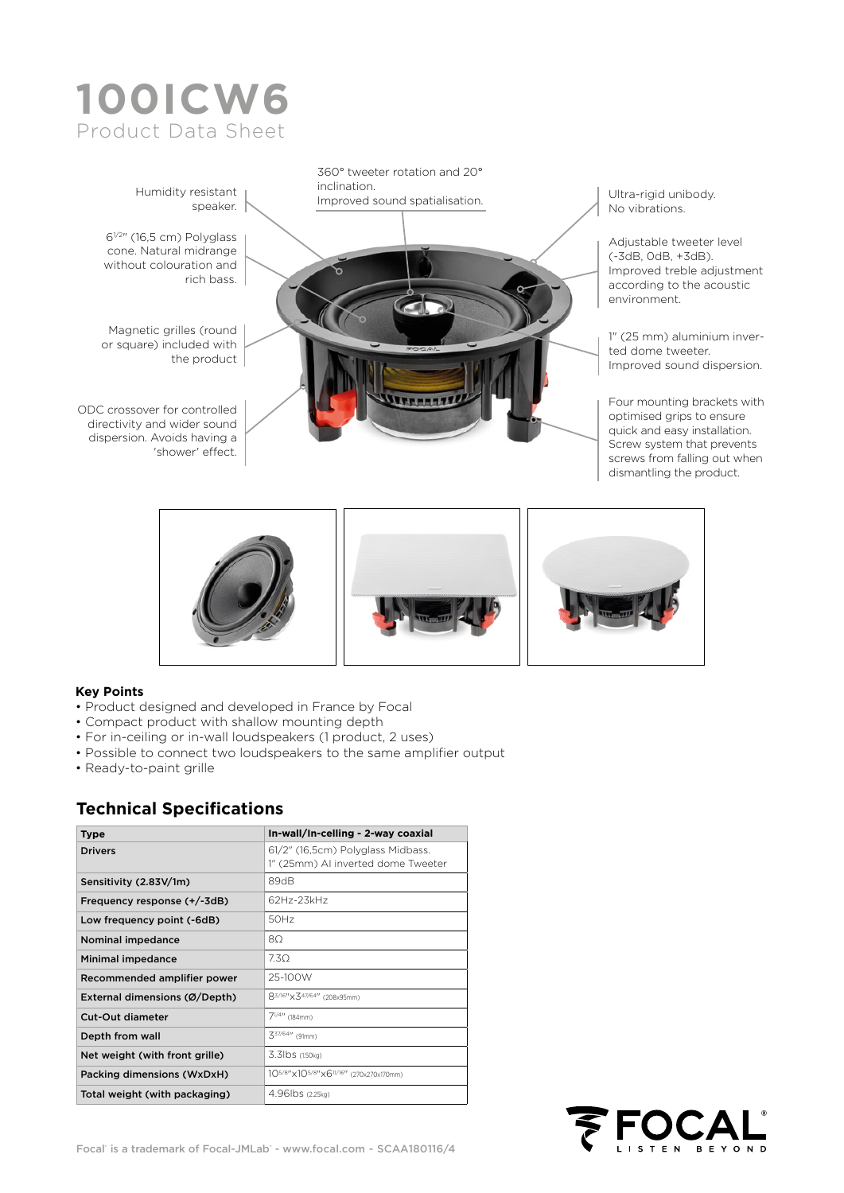





#### **Key Points**

- Product designed and developed in France by Focal
- Compact product with shallow mounting depth
- For in-ceiling or in-wall loudspeakers (1 product, 2 uses)
- Possible to connect two loudspeakers to the same amplifier output
- Ready-to-paint grille

#### **Technical Specifications**

| <b>Type</b>                    | In-wall/In-celling - 2-way coaxial                                      |  |  |  |
|--------------------------------|-------------------------------------------------------------------------|--|--|--|
| <b>Drivers</b>                 | 61/2" (16,5cm) Polyglass Midbass.<br>1" (25mm) AI inverted dome Tweeter |  |  |  |
| Sensitivity (2.83V/1m)         | 89dB                                                                    |  |  |  |
| Frequency response (+/-3dB)    | 62Hz-23kHz                                                              |  |  |  |
| Low frequency point (-6dB)     | 50Hz                                                                    |  |  |  |
| Nominal impedance              | 8Ω                                                                      |  |  |  |
| <b>Minimal impedance</b>       | 7.30                                                                    |  |  |  |
| Recommended amplifier power    | 25-100W                                                                 |  |  |  |
| External dimensions (Ø/Depth)  | 83/16"×347/64" (208x95mm)                                               |  |  |  |
| <b>Cut-Out diameter</b>        | $7^{1/4}$ (184mm)                                                       |  |  |  |
| Depth from wall                | $3^{37/64}$ (91mm)                                                      |  |  |  |
| Net weight (with front grille) | 3.3lbs (1.50kg)                                                         |  |  |  |
| Packing dimensions (WxDxH)     | 105/8"x105/8"x611/16" (270x270x170mm)                                   |  |  |  |
| Total weight (with packaging)  | 4.96 lbs (2.25kg)                                                       |  |  |  |